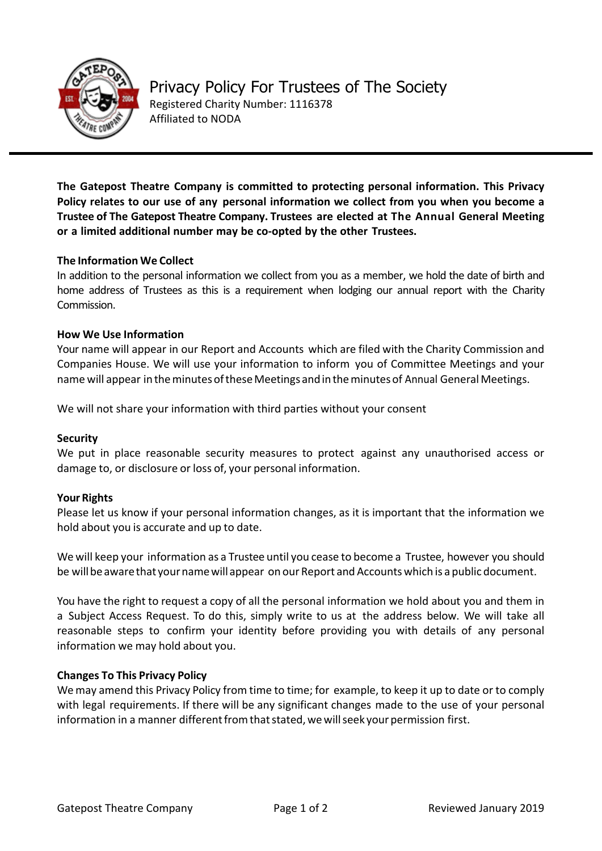

**The Gatepost Theatre Company is committed to protecting personal information. This Privacy Policy relates to our use of any personal information we collect from you when you become a Trustee of The Gatepost Theatre Company. Trustees are elected at The Annual General Meeting or a limited additional number may be co-opted by the other Trustees.**

# **The Information We Collect**

In addition to the personal information we collect from you as a member, we hold the date of birth and home address of Trustees as this is a requirement when lodging our annual report with the Charity Commission.

## **How We Use Information**

Your name will appear in our Report and Accounts which are filed with the Charity Commission and Companies House. We will use your information to inform you of Committee Meetings and your name will appear in the minutes of these Meetings and in the minutes of Annual General Meetings.

We will not share your information with third parties without your consent

## **Security**

We put in place reasonable security measures to protect against any unauthorised access or damage to, or disclosure or loss of, your personal information.

## **Your Rights**

Please let us know if your personal information changes, as it is important that the information we hold about you is accurate and up to date.

We will keep your information as a Trustee until you cease to become a Trustee, however you should be will be aware that your name will appear on our Report and Accounts which is a public document.

You have the right to request a copy of all the personal information we hold about you and them in a Subject Access Request. To do this, simply write to us at the address below. We will take all reasonable steps to confirm your identity before providing you with details of any personal information we may hold about you.

## **Changes To This Privacy Policy**

Wemay amend this Privacy Policy from time to time; for example, to keep it up to date or to comply with legal requirements. If there will be any significant changes made to the use of your personal information in a manner different from that stated, we will seek your permission first.